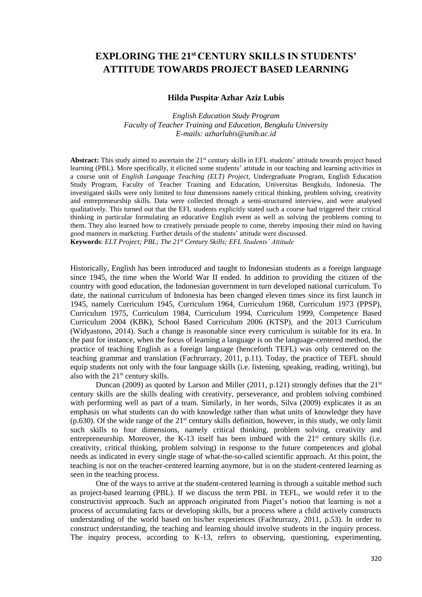# **EXPLORING THE 21st CENTURY SKILLS IN STUDENTS' ATTITUDE TOWARDS PROJECT BASED LEARNING**

### **Hilda Puspita, Azhar Aziz Lubis**

*English Education Study Program Faculty of Teacher Training and Education, Bengkulu University E-mails: azharlubis@unib.ac.id*

Abstract: This study aimed to ascertain the 21<sup>st</sup> century skills in EFL students' attitude towards project based learning (PBL). More specifically, it elicited some students' attitude in our teaching and learning activities in a course unit of *English Language Teaching (ELT) Project,* Undergraduate Program, English Education Study Program, Faculty of Teacher Training and Education, Universitas Bengkulu, Indonesia. The investigated skills were only limited to four dimensions namely critical thinking, problem solving, creativity and entrepreneurship skills. Data were collected through a semi-structured interview, and were analysed qualitatively. This turned out that the EFL students explicitly stated such a course had triggered their critical thinking in particular formulating an educative English event as well as solving the problems coming to them. They also learned how to creatively persuade people to come, thereby imposing their mind on having good manners in marketing. Further details of the students' attitude were discussed. **Keywords**: *ELT Project; PBL; The 21st Century Skills; EFL Students' Attitude*

Historically, English has been introduced and taught to Indonesian students as a foreign language since 1945, the time when the World War II ended. In addition to providing the citizen of the country with good education, the Indonesian government in turn developed national curriculum. To date, the national curriculum of Indonesia has been changed eleven times since its first launch in 1945, namely Curriculum 1945, Curriculum 1964, Curriculum 1968, Curriculum 1973 (PPSP), Curriculum 1975, Curriculum 1984, Curriculum 1994, Curriculum 1999, Competence Based Curriculum 2004 (KBK), School Based Curriculum 2006 (KTSP), and the 2013 Curriculum (Widyastono, 2014). Such a change is reasonable since every curriculum is suitable for its era. In the past for instance, when the focus of learning a language is on the language-centered method, the practice of teaching English as a foreign language (henceforth TEFL) was only centered on the teaching grammar and translation (Fachrurrazy, 2011, p.11). Today, the practice of TEFL should equip students not only with the four language skills (i.e. listening, speaking, reading, writing), but also with the  $21<sup>st</sup>$  century skills.

Duncan (2009) as quoted by Larson and Miller (2011, p.121) strongly defines that the  $21<sup>st</sup>$ century skills are the skills dealing with creativity, perseverance, and problem solving combined with performing well as part of a team. Similarly, in her words, Silva (2009) explicates it as an emphasis on what students can do with knowledge rather than what units of knowledge they have (p.630). Of the wide range of the  $21<sup>st</sup>$  century skills definition, however, in this study, we only limit such skills to four dimensions, namely critical thinking, problem solving, creativity and entrepreneurship. Moreover, the K-13 itself has been imbued with the  $21<sup>st</sup>$  century skills (i.e. creativity, critical thinking, problem solving) in response to the future competences and global needs as indicated in every single stage of what-the-so-called scientific approach. At this point, the teaching is not on the teacher-centered learning anymore, but is on the student-centered learning as seen in the teaching process.

One of the ways to arrive at the student-centered learning is through a suitable method such as project-based learning (PBL). If we discuss the term PBL in TEFL, we would refer it to the constructivist approach. Such an approach originated from Piaget's notion that learning is not a process of accumulating facts or developing skills, but a process where a child actively constructs understanding of the world based on his/her experiences (Fachrurrazy, 2011, p.53). In order to construct understanding, the teaching and learning should involve students in the inquiry process. The inquiry process, according to K-13, refers to observing, questioning, experimenting,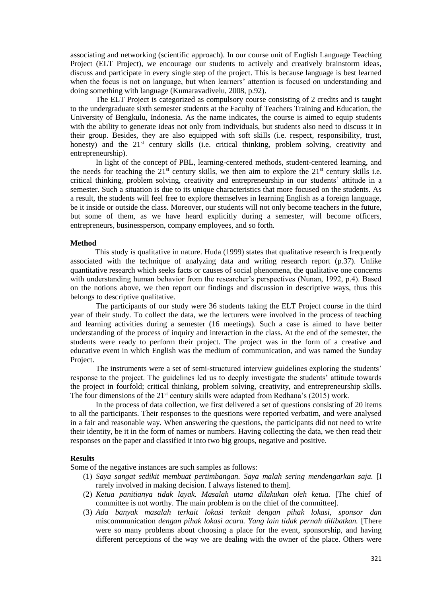associating and networking (scientific approach). In our course unit of English Language Teaching Project (ELT Project), we encourage our students to actively and creatively brainstorm ideas, discuss and participate in every single step of the project. This is because language is best learned when the focus is not on language, but when learners' attention is focused on understanding and doing something with language (Kumaravadivelu, 2008, p.92).

The ELT Project is categorized as compulsory course consisting of 2 credits and is taught to the undergraduate sixth semester students at the Faculty of Teachers Training and Education, the University of Bengkulu, Indonesia. As the name indicates, the course is aimed to equip students with the ability to generate ideas not only from individuals, but students also need to discuss it in their group. Besides, they are also equipped with soft skills (i.e. respect, responsibility, trust, honesty) and the 21<sup>st</sup> century skills (i.e. critical thinking, problem solving, creativity and entrepreneurship).

In light of the concept of PBL, learning-centered methods, student-centered learning, and the needs for teaching the  $21<sup>st</sup>$  century skills, we then aim to explore the  $21<sup>st</sup>$  century skills i.e. critical thinking, problem solving, creativity and entrepreneurship in our students' attitude in a semester. Such a situation is due to its unique characteristics that more focused on the students. As a result, the students will feel free to explore themselves in learning English as a foreign language, be it inside or outside the class. Moreover, our students will not only become teachers in the future, but some of them, as we have heard explicitly during a semester, will become officers, entrepreneurs, businessperson, company employees, and so forth.

### **Method**

This study is qualitative in nature. Huda (1999) states that qualitative research is frequently associated with the technique of analyzing data and writing research report (p.37). Unlike quantitative research which seeks facts or causes of social phenomena, the qualitative one concerns with understanding human behavior from the researcher's perspectives (Nunan, 1992, p.4). Based on the notions above, we then report our findings and discussion in descriptive ways, thus this belongs to descriptive qualitative.

The participants of our study were 36 students taking the ELT Project course in the third year of their study. To collect the data, we the lecturers were involved in the process of teaching and learning activities during a semester (16 meetings). Such a case is aimed to have better understanding of the process of inquiry and interaction in the class. At the end of the semester, the students were ready to perform their project. The project was in the form of a creative and educative event in which English was the medium of communication, and was named the Sunday Project.

The instruments were a set of semi-structured interview guidelines exploring the students' response to the project. The guidelines led us to deeply investigate the students' attitude towards the project in fourfold; critical thinking, problem solving, creativity, and entrepreneurship skills. The four dimensions of the  $21<sup>st</sup>$  century skills were adapted from Redhana's (2015) work.

In the process of data collection, we first delivered a set of questions consisting of 20 items to all the participants. Their responses to the questions were reported verbatim, and were analysed in a fair and reasonable way. When answering the questions, the participants did not need to write their identity, be it in the form of names or numbers. Having collecting the data, we then read their responses on the paper and classified it into two big groups, negative and positive.

### **Results**

Some of the negative instances are such samples as follows:

- (1) *Saya sangat sedikit membuat pertimbangan. Saya malah sering mendengarkan saja.* [I rarely involved in making decision. I always listened to them].
- (2) *Ketua panitianya tidak layak. Masalah utama dilakukan oleh ketua.* [The chief of committee is not worthy. The main problem is on the chief of the committee].
- (3) *Ada banyak masalah terkait lokasi terkait dengan pihak lokasi, sponsor dan*  miscommunication *dengan pihak lokasi acara. Yang lain tidak pernah dilibatkan.* [There were so many problems about choosing a place for the event, sponsorship, and having different perceptions of the way we are dealing with the owner of the place. Others were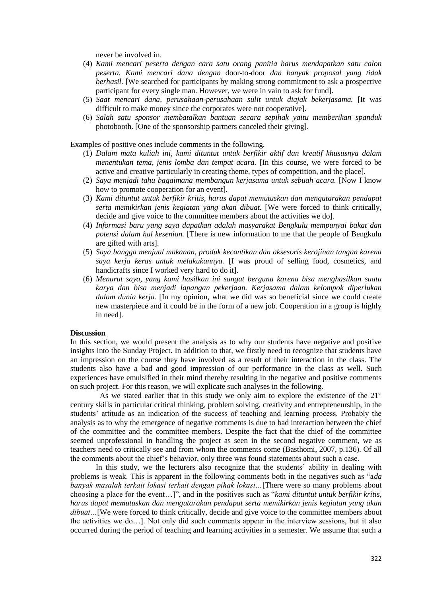never be involved in.

- (4) *Kami mencari peserta dengan cara satu orang panitia harus mendapatkan satu calon peserta. Kami mencari dana dengan* door-to-door *dan banyak proposal yang tidak berhasil.* [We searched for participants by making strong commitment to ask a prospective participant for every single man. However, we were in vain to ask for fund].
- (5) *Saat mencari dana, perusahaan-perusahaan sulit untuk diajak bekerjasama.* [It was difficult to make money since the corporates were not cooperative].
- (6) *Salah satu sponsor membatalkan bantuan secara sepihak yaitu memberikan spanduk*  photobooth. [One of the sponsorship partners canceled their giving].

Examples of positive ones include comments in the following.

- (1) *Dalam mata kuliah ini, kami dituntut untuk berfikir aktif dan kreatif khususnya dalam menentukan tema, jenis lomba dan tempat acara.* [In this course, we were forced to be active and creative particularly in creating theme, types of competition, and the place].
- (2) *Saya menjadi tahu bagaimana membangun kerjasama untuk sebuah acara.* [Now I know how to promote cooperation for an event].
- (3) *Kami dituntut untuk berfikir kritis, harus dapat memutuskan dan mengutarakan pendapat serta memikirkan jenis kegiatan yang akan dibuat.* [We were forced to think critically, decide and give voice to the committee members about the activities we do].
- (4) *Informasi baru yang saya dapatkan adalah masyarakat Bengkulu mempunyai bakat dan potensi dalam hal kesenian.* [There is new information to me that the people of Bengkulu are gifted with arts].
- (5) *Saya bangga menjual makanan, produk kecantikan dan aksesoris kerajinan tangan karena saya kerja keras untuk melakukannya.* [I was proud of selling food, cosmetics, and handicrafts since I worked very hard to do it].
- (6) *Menurut saya, yang kami hasilkan ini sangat berguna karena bisa menghasilkan suatu karya dan bisa menjadi lapangan pekerjaan. Kerjasama dalam kelompok diperlukan dalam dunia kerja.* [In my opinion, what we did was so beneficial since we could create new masterpiece and it could be in the form of a new job. Cooperation in a group is highly in need].

#### **Discussion**

In this section, we would present the analysis as to why our students have negative and positive insights into the Sunday Project. In addition to that, we firstly need to recognize that students have an impression on the course they have involved as a result of their interaction in the class. The students also have a bad and good impression of our performance in the class as well. Such experiences have emulsified in their mind thereby resulting in the negative and positive comments on such project. For this reason, we will explicate such analyses in the following.

As we stated earlier that in this study we only aim to explore the existence of the  $21<sup>st</sup>$ century skills in particular critical thinking, problem solving, creativity and entrepreneurship, in the students' attitude as an indication of the success of teaching and learning process. Probably the analysis as to why the emergence of negative comments is due to bad interaction between the chief of the committee and the committee members. Despite the fact that the chief of the committee seemed unprofessional in handling the project as seen in the second negative comment, we as teachers need to critically see and from whom the comments come (Basthomi, 2007, p.136). Of all the comments about the chief's behavior, only three was found statements about such a case.

In this study, we the lecturers also recognize that the students' ability in dealing with problems is weak. This is apparent in the following comments both in the negatives such as "a*da banyak masalah terkait lokasi terkait dengan pihak lokasi…*[There were so many problems about choosing a place for the event…]", and in the positives such as "*kami dituntut untuk berfikir kritis, harus dapat memutuskan dan mengutarakan pendapat serta memikirkan jenis kegiatan yang akan dibuat*...[We were forced to think critically, decide and give voice to the committee members about the activities we do…]. Not only did such comments appear in the interview sessions, but it also occurred during the period of teaching and learning activities in a semester. We assume that such a